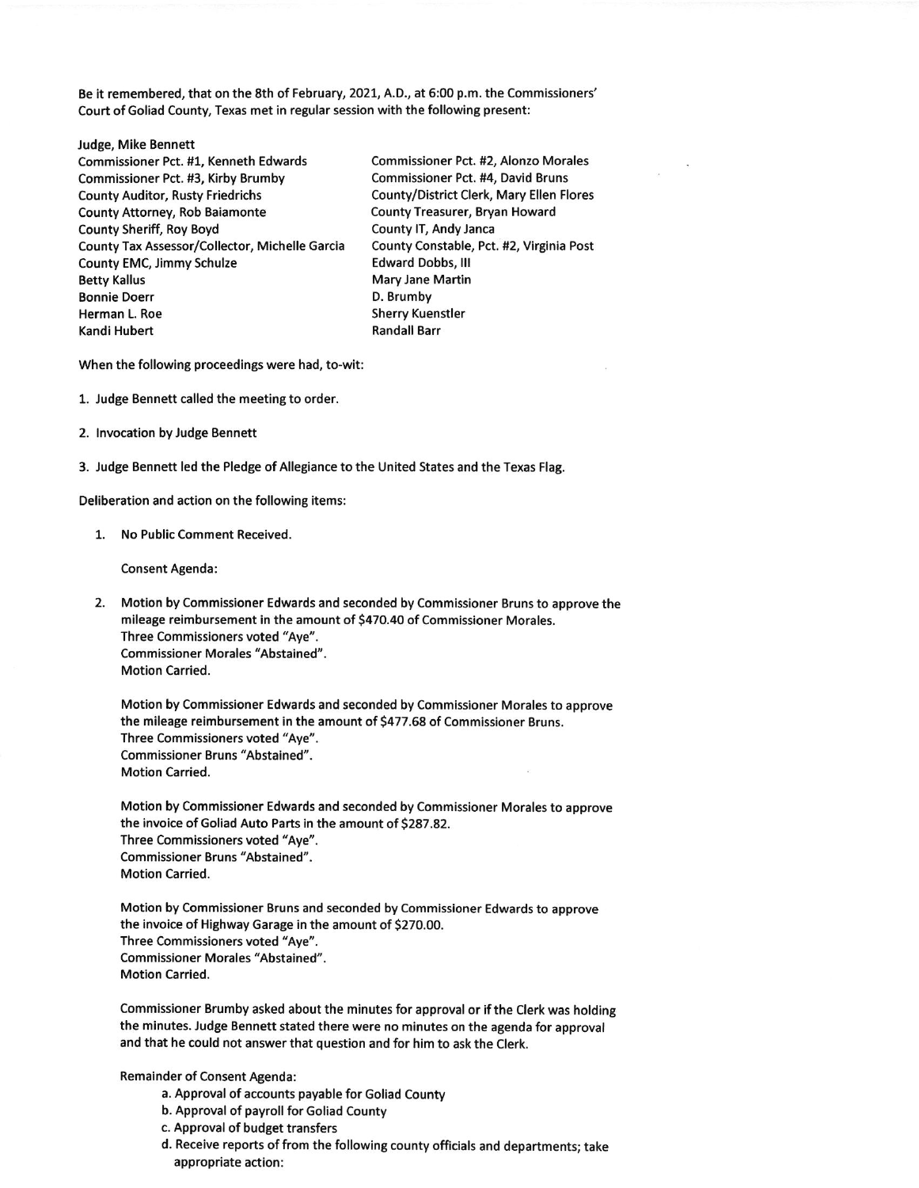Be it remembered, that on the 8th of February, 2021, A.0., at 5:00 p.m. the Commissioners' Court of Goliad County, Texas met in regular session with the following present:

Judge, Mike Bennett Commissioner Pct. #1, Kenneth Edwards Commissioner Pct. #2, Alonzo Morales Commissioner Pct. #3, Kirby Brumby Commissioner Pct. #4, David Bruns County Auditor, Rusty Friedrichs<br>
County Attorney, Rob Baiamonte<br>
County Treasurer, Bryan Howard County Attorney, Rob Baiamonte County Sheriff, Roy Boyd County lT, Andy Janca County Tax Assessor/Collector, Michelle Garcia County Constable, Pct. #2, Virginia Post County EMC, Jimmy Schulze **Edward Dobbs, III** Betty Kallus **Mary Jane Martin** Mary Jane Martin Bonnie Doerr D. Brumby Kandi Hubert **Kandall Barr** Randall Barr

Sherry Kuenstler

When the following proceedings were had, to-wit:

- 1. Judge Bennett called the meeting to order.
- 2. lnvocation by Judge Bennett
- 3. Judge Bennett led the Pledge of Allegiance to the United States and the Texas Flag.

Deliberation and action on the following items:

1. No Public Comment Received.

Consent Agenda:

2. Motion by Commlssioner Edwards and seconded by Commissioner Bruns to approve the mileage reimbursement in the amount of \$470.40 of Commissioner Morales. Three Commissioners voted "Aye". Commissioner Morales "Abstained". Motion Carried.

Motion by Commissioner Edwards and seconded by Commissioner Morales to approve the mileage reimbursement in the amount of 5477.68 of Commissioner Bruns. Three Commissioners voted "Aye". Commissioner Bruns' Abstained". Motion Carried.

Motion by Commissioner Edwards and seconded by Commissioner Morales to approve the invoice of Goliad Auto Parts in the amount of 5287.82. Three Commissioners voted "Aye". Commissioner Bruns "Abstained". Motion Carried.

Motion by Commissioner Bruns and seconded by Commissioner Edwards to approve the invoice of Highway Garage in the amount of 5270.00. Three Commissioners voted "Aye", Commissioner Morales "Abstained". Motion Carried.

Commissioner Brumby asked about the minutes for approval or if the Clerk was holding the minutes. Judge Bennett stated there were no minutes on the agenda for approval and that he could not answer that question and for him to ask the Clerk.

Remainder of Consent Agenda:

- a, Approval of accounts payable for Goliad County
- b. Approval of payroll for Goliad County
- c. Approval of budget transfers
- d. Receive reports of from the following county officials and departments; take appropriate action: